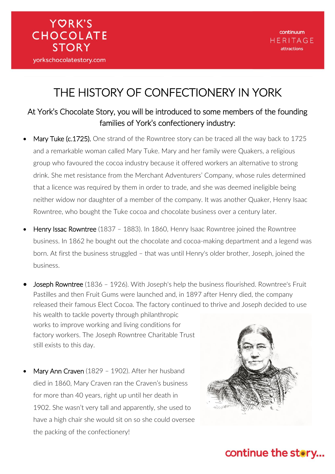## THE HISTORY OF CONFECTIONERY IN YORK

#### At York's Chocolate Story, you will be introduced to some members of the founding families of York's confectionery industry:

- Mary Tuke (c.1725). One strand of the Rowntree story can be traced all the way back to 1725 and a remarkable woman called Mary Tuke. Mary and her family were Quakers, a religious group who favoured the cocoa industry because it offered workers an alternative to strong drink. She met resistance from the Merchant Adventurers' Company, whose rules determined that a licence was required by them in order to trade, and she was deemed ineligible being neither widow nor daughter of a member of the company. It was another Quaker, Henry Isaac Rowntree, who bought the Tuke cocoa and chocolate business over a century later.
- Henry Issac Rowntree (1837 1883). In 1860, Henry Isaac Rowntree joined the Rowntree business. In 1862 he bought out the chocolate and cocoa-making department and a legend was born. At first the business struggled – that was until Henry's older brother, Joseph, joined the business.
- Joseph Rowntree (1836 1926). With Joseph's help the business flourished. Rowntree's Fruit Pastilles and then Fruit Gums were launched and, in 1897 after Henry died, the company released their famous Elect Cocoa. The factory continued to thrive and Joseph decided to use his wealth to tackle poverty through philanthropic works to improve working and living conditions for factory workers. The Joseph Rowntree Charitable Trust still exists to this day.
- Mary Ann Craven (1829 1902). After her husband died in 1860, Mary Craven ran the Craven's business for more than 40 years, right up until her death in 1902. She wasn't very tall and apparently, she used to have a high chair she would sit on so she could oversee the packing of the confectionery!

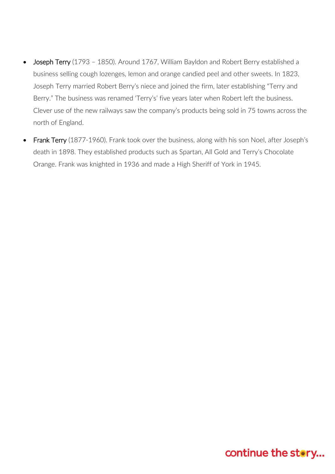- Joseph Terry (1793 1850). Around 1767, William Bayldon and Robert Berry established a business selling cough lozenges, lemon and orange candied peel and other sweets. In 1823, Joseph Terry married Robert Berry's niece and joined the firm, later establishing "Terry and Berry." The business was renamed 'Terry's' five years later when Robert left the business. Clever use of the new railways saw the company's products being sold in 75 towns across the north of England.
- Frank Terry (1877-1960). Frank took over the business, along with his son Noel, after Joseph's death in 1898. They established products such as Spartan, All Gold and Terry's Chocolate Orange. Frank was knighted in 1936 and made a High Sheriff of York in 1945.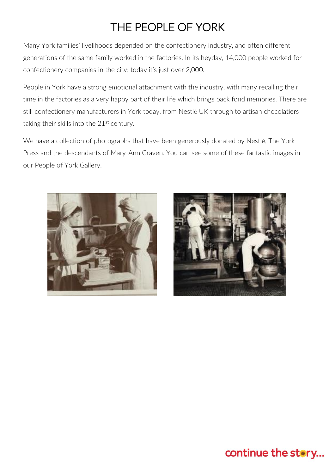# THE PEOPLE OF YORK

Many York families' livelihoods depended on the confectionery industry, and often different generations of the same family worked in the factories. In its heyday, 14,000 people worked for confectionery companies in the city; today it's just over 2,000.

People in York have a strong emotional attachment with the industry, with many recalling their time in the factories as a very happy part of their life which brings back fond memories. There are still confectionery manufacturers in York today, from Nestlé UK through to artisan chocolatiers taking their skills into the  $21<sup>st</sup>$  century.

We have a collection of photographs that have been generously donated by Nestlé, The York Press and the descendants of Mary-Ann Craven. You can see some of these fantastic images in our People of York Gallery.



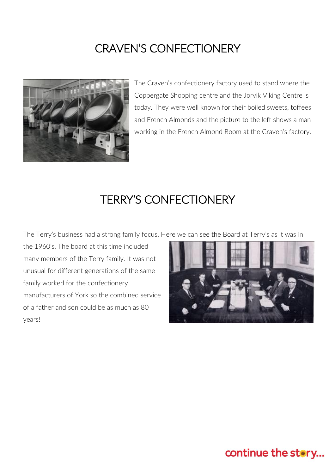## CRAVEN'S CONFECTIONERY



The Craven's confectionery factory used to stand where the Coppergate Shopping centre and the Jorvik Viking Centre is today. They were well known for their boiled sweets, toffees and French Almonds and the picture to the left shows a man working in the French Almond Room at the Craven's factory.

#### TERRY'S CONFECTIONERY

The Terry's business had a strong family focus. Here we can see the Board at Terry's as it was in

the 1960's. The board at this time included many members of the Terry family. It was not unusual for different generations of the same family worked for the confectionery manufacturers of York so the combined service of a father and son could be as much as 80 years!